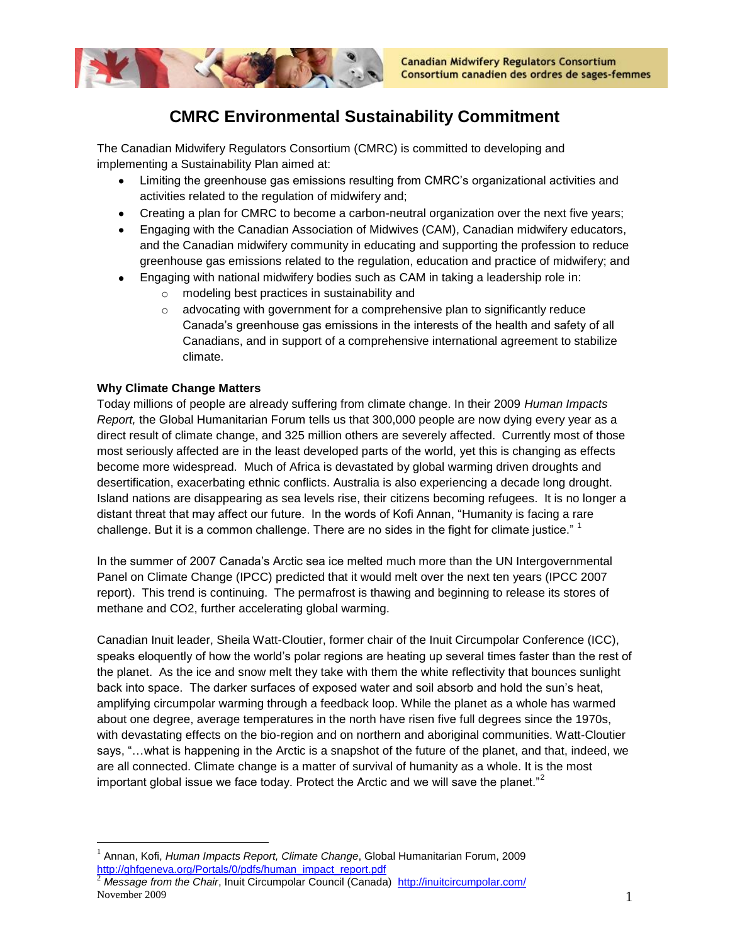

# **CMRC Environmental Sustainability Commitment**

The Canadian Midwifery Regulators Consortium (CMRC) is committed to developing and implementing a Sustainability Plan aimed at:

- Limiting the greenhouse gas emissions resulting from CMRC's organizational activities and activities related to the regulation of midwifery and;
- Creating a plan for CMRC to become a carbon-neutral organization over the next five years;
- Engaging with the Canadian Association of Midwives (CAM), Canadian midwifery educators, and the Canadian midwifery community in educating and supporting the profession to reduce greenhouse gas emissions related to the regulation, education and practice of midwifery; and
- Engaging with national midwifery bodies such as CAM in taking a leadership role in:
	- o modeling best practices in sustainability and
	- $\circ$  advocating with government for a comprehensive plan to significantly reduce Canada's greenhouse gas emissions in the interests of the health and safety of all Canadians, and in support of a comprehensive international agreement to stabilize climate.

## **Why Climate Change Matters**

 $\overline{a}$ 

Today millions of people are already suffering from climate change. In their 2009 *Human Impacts Report,* the Global Humanitarian Forum tells us that 300,000 people are now dying every year as a direct result of climate change, and 325 million others are severely affected. Currently most of those most seriously affected are in the least developed parts of the world, yet this is changing as effects become more widespread. Much of Africa is devastated by global warming driven droughts and desertification, exacerbating ethnic conflicts. Australia is also experiencing a decade long drought. Island nations are disappearing as sea levels rise, their citizens becoming refugees. It is no longer a distant threat that may affect our future. In the words of Kofi Annan, "Humanity is facing a rare challenge. But it is a common challenge. There are no sides in the fight for climate justice."  $^1$ 

In the summer of 2007 Canada's Arctic sea ice melted much more than the UN Intergovernmental Panel on Climate Change (IPCC) predicted that it would melt over the next ten years (IPCC 2007 report). This trend is continuing. The permafrost is thawing and beginning to release its stores of methane and CO2, further accelerating global warming.

Canadian Inuit leader, Sheila Watt-Cloutier, former chair of the Inuit Circumpolar Conference (ICC), speaks eloquently of how the world's polar regions are heating up several times faster than the rest of the planet. As the ice and snow melt they take with them the white reflectivity that bounces sunlight back into space. The darker surfaces of exposed water and soil absorb and hold the sun's heat, amplifying circumpolar warming through a feedback loop. While the planet as a whole has warmed about one degree, average temperatures in the north have risen five full degrees since the 1970s, with devastating effects on the bio-region and on northern and aboriginal communities. Watt-Cloutier says, "…what is happening in the Arctic is a snapshot of the future of the planet, and that, indeed, we are all connected. Climate change is a matter of survival of humanity as a whole. It is the most important global issue we face today. Protect the Arctic and we will save the planet."<sup>2</sup>

<sup>1</sup> Annan, Kofi, *Human Impacts Report, Climate Change*, Global Humanitarian Forum, 2009 [http://ghfgeneva.org/Portals/0/pdfs/human\\_impact\\_report.pdf](http://ghfgeneva.org/Portals/0/pdfs/human_impact_report.pdf)

November 2009 1 <sup>2</sup> Message from the Chair, Inuit Circumpolar Council (Canada)<http://inuitcircumpolar.com/>